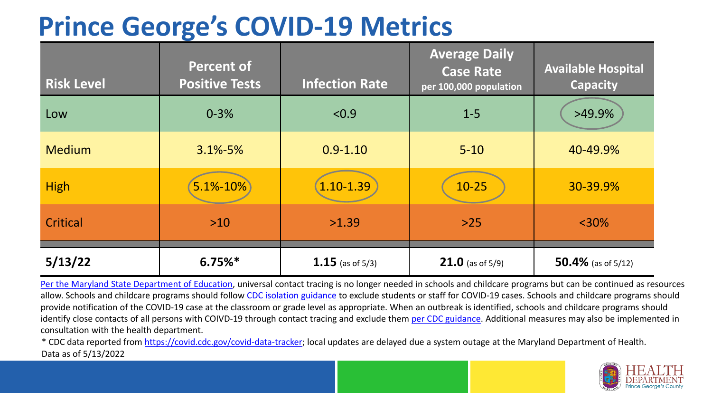### **Prince George's COVID-19 Metrics**

| <b>Risk Level</b> | <b>Percent of</b><br><b>Positive Tests</b> | <b>Infection Rate</b> | <b>Average Daily</b><br><b>Case Rate</b><br>per 100,000 population | <b>Available Hospital</b><br><b>Capacity</b> |
|-------------------|--------------------------------------------|-----------------------|--------------------------------------------------------------------|----------------------------------------------|
| Low               | $0 - 3%$                                   | < 0.9                 | $1 - 5$                                                            | >49.9%                                       |
| <b>Medium</b>     | $3.1\% - 5\%$                              | $0.9 - 1.10$          | $5 - 10$                                                           | 40-49.9%                                     |
| <b>High</b>       | 5.1%-10%                                   | $1.10 - 1.39$         | $10 - 25$                                                          | 30-39.9%                                     |
| Critical          | $>10$                                      | >1.39                 | $>25$                                                              | $<$ 30%                                      |
| 5/13/22           | $6.75%$ *                                  | 1.15 (as of $5/3$ )   | <b>21.0</b> (as of $5/9$ )                                         | 50.4% (as of $5/12$ )                        |

[Per the Maryland State Department of Education,](https://earlychildhood.marylandpublicschools.org/system/files/filedepot/3/covid_guidance_full_080420.pdf) universal contact tracing is no longer needed in schools and childcare programs but can be continued as resources allow. Schools and childcare programs should follow [CDC isolation guidance t](https://www.cdc.gov/coronavirus/2019-ncov/community/schools-childcare/k-12-contact-tracing/about-isolation.html)o exclude students or staff for COVID-19 cases. Schools and childcare programs should provide notification of the COVID-19 case at the classroom or grade level as appropriate. When an outbreak is identified, schools and childcare programs should identify close contacts of all persons with COIVD-19 through contact tracing and exclude them [per CDC guidance](https://www.cdc.gov/coronavirus/2019-ncov/your-health/quarantine-isolation.html). Additional measures may also be implemented in consultation with the health department.

\* CDC data reported from [https://covid.cdc.gov/covid-data-tracker;](https://covid.cdc.gov/covid-data-tracker) local updates are delayed due a system outage at the Maryland Department of Health. Data as of 5/13/2022

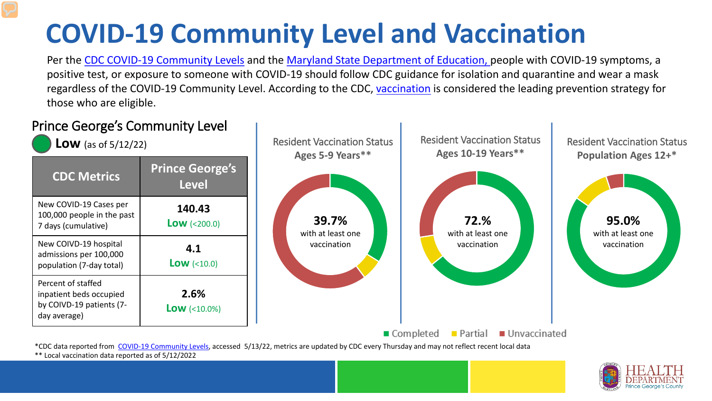# **COVID-19 Community Level and Vaccination**

Per the [CDC COVID-19 Community Levels](https://www.cdc.gov/coronavirus/2019-ncov/science/community-levels.html#anchor_82254) and the [Maryland State Department of Education,](https://earlychildhood.marylandpublicschools.org/system/files/filedepot/3/covid_guidance_full_080420.pdf) people with COVID-19 symptoms, a positive test, or exposure to someone with COVID-19 should follow CDC guidance for isolation and quarantine and wear a mask regardless of the COVID-19 Community Level. According to the CDC, [vaccination](https://www.cdc.gov/coronavirus/2019-ncov/prevent-getting-sick/prevention.html) is considered the leading prevention strategy for those who are eligible.



\*\* Local vaccination data reported as of 5/12/2022

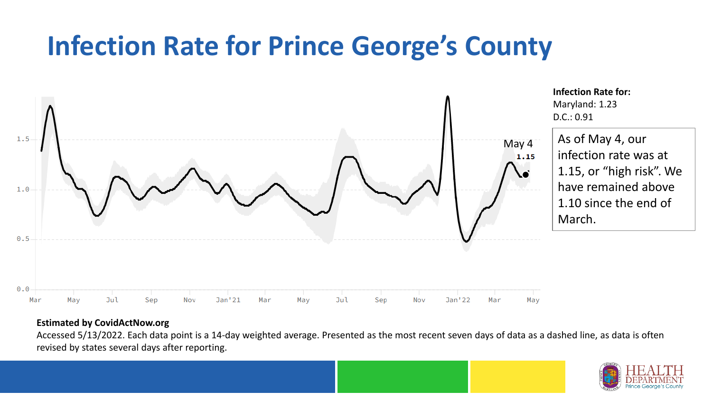### **Infection Rate for Prince George's County**



#### **Estimated by CovidActNow.org**

Accessed 5/13/2022. Each data point is a 14-day weighted average. Presented as the most recent seven days of data as a dashed line, as data is often revised by states several days after reporting.

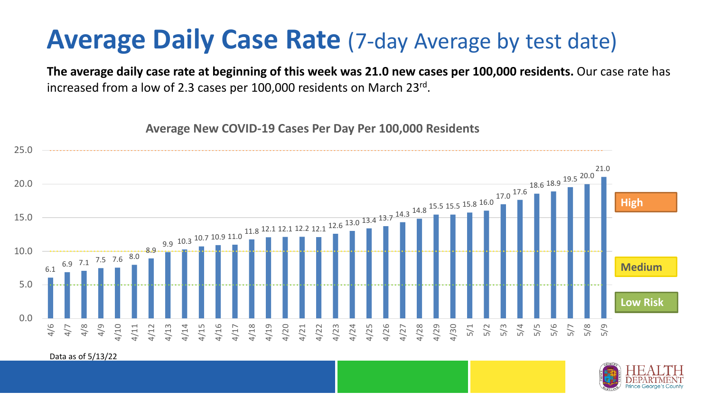### **Average Daily Case Rate** (7-day Average by test date)

**The average daily case rate at beginning of this week was 21.0 new cases per 100,000 residents.** Our case rate has increased from a low of 2.3 cases per 100,000 residents on March 23rd.

**Average New COVID-19 Cases Per Day Per 100,000 Residents**



Data as of 5/13/22